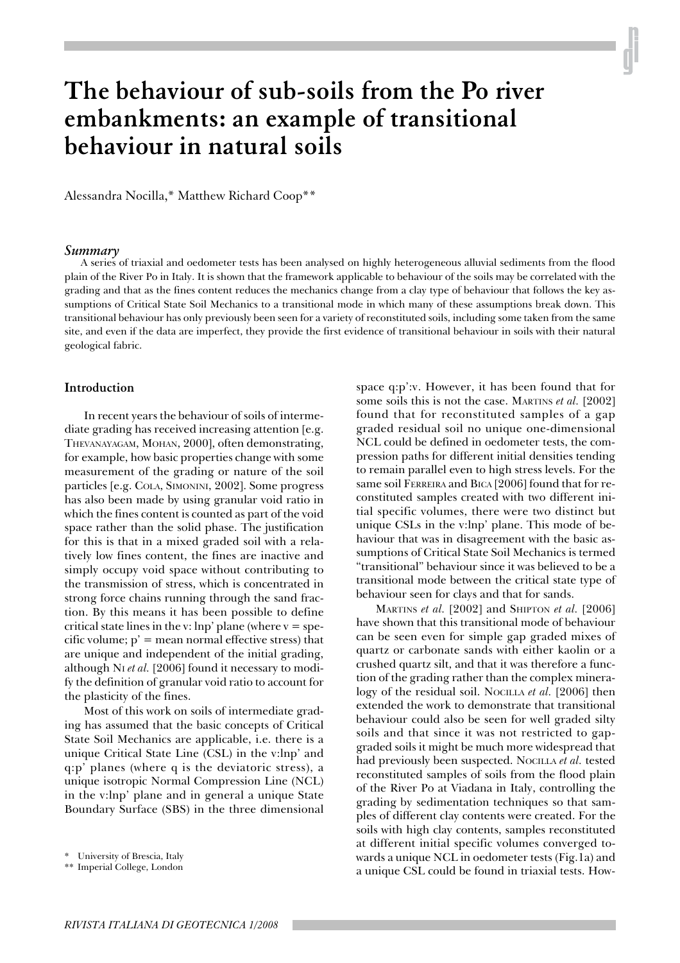# **The behaviour of sub-soils from the Po river embankments: an example of transitional behaviour in natural soils**

Alessandra Nocilla,\* Matthew Richard Coop\*\*

#### *Summary*

A series of triaxial and oedometer tests has been analysed on highly heterogeneous alluvial sediments from the flood plain of the River Po in Italy. It is shown that the framework applicable to behaviour of the soils may be correlated with the grading and that as the fines content reduces the mechanics change from a clay type of behaviour that follows the key assumptions of Critical State Soil Mechanics to a transitional mode in which many of these assumptions break down. This transitional behaviour has only previously been seen for a variety of reconstituted soils, including some taken from the same site, and even if the data are imperfect, they provide the first evidence of transitional behaviour in soils with their natural geological fabric.

#### **Introduction**

In recent years the behaviour of soils of intermediate grading has received increasing attention [e.g. THEVANAYAGAM, MOHAN, 2000], often demonstrating, for example, how basic properties change with some measurement of the grading or nature of the soil particles [e.g. COLA, SIMONINI, 2002]. Some progress has also been made by using granular void ratio in which the fines content is counted as part of the void space rather than the solid phase. The justification for this is that in a mixed graded soil with a relatively low fines content, the fines are inactive and simply occupy void space without contributing to the transmission of stress, which is concentrated in strong force chains running through the sand fraction. By this means it has been possible to define critical state lines in the v: lnp' plane (where  $v = spe$ cific volume;  $p'$  = mean normal effective stress) that are unique and independent of the initial grading, although NI *et al.* [2006] found it necessary to modify the definition of granular void ratio to account for the plasticity of the fines.

Most of this work on soils of intermediate grading has assumed that the basic concepts of Critical State Soil Mechanics are applicable, i.e. there is a unique Critical State Line (CSL) in the v:lnp' and q:p' planes (where q is the deviatoric stress), a unique isotropic Normal Compression Line (NCL) in the v:lnp' plane and in general a unique State Boundary Surface (SBS) in the three dimensional

space q:p':v. However, it has been found that for some soils this is not the case. MARTINS *et al.* [2002] found that for reconstituted samples of a gap graded residual soil no unique one-dimensional NCL could be defined in oedometer tests, the compression paths for different initial densities tending to remain parallel even to high stress levels. For the same soil FERREIRA and BICA [2006] found that for reconstituted samples created with two different initial specific volumes, there were two distinct but unique CSLs in the v:lnp' plane. This mode of behaviour that was in disagreement with the basic assumptions of Critical State Soil Mechanics is termed "transitional" behaviour since it was believed to be a transitional mode between the critical state type of behaviour seen for clays and that for sands.

MARTINS *et al.* [2002] and SHIPTON *et al.* [2006] have shown that this transitional mode of behaviour can be seen even for simple gap graded mixes of quartz or carbonate sands with either kaolin or a crushed quartz silt, and that it was therefore a function of the grading rather than the complex mineralogy of the residual soil. NOCILLA *et al.* [2006] then extended the work to demonstrate that transitional behaviour could also be seen for well graded silty soils and that since it was not restricted to gapgraded soils it might be much more widespread that had previously been suspected. NOCILLA *et al.* tested reconstituted samples of soils from the flood plain of the River Po at Viadana in Italy, controlling the grading by sedimentation techniques so that samples of different clay contents were created. For the soils with high clay contents, samples reconstituted at different initial specific volumes converged towards a unique NCL in oedometer tests (Fig.1a) and a unique CSL could be found in triaxial tests. How-

<sup>\*</sup> University of Brescia, Italy

<sup>\*\*</sup> Imperial College, London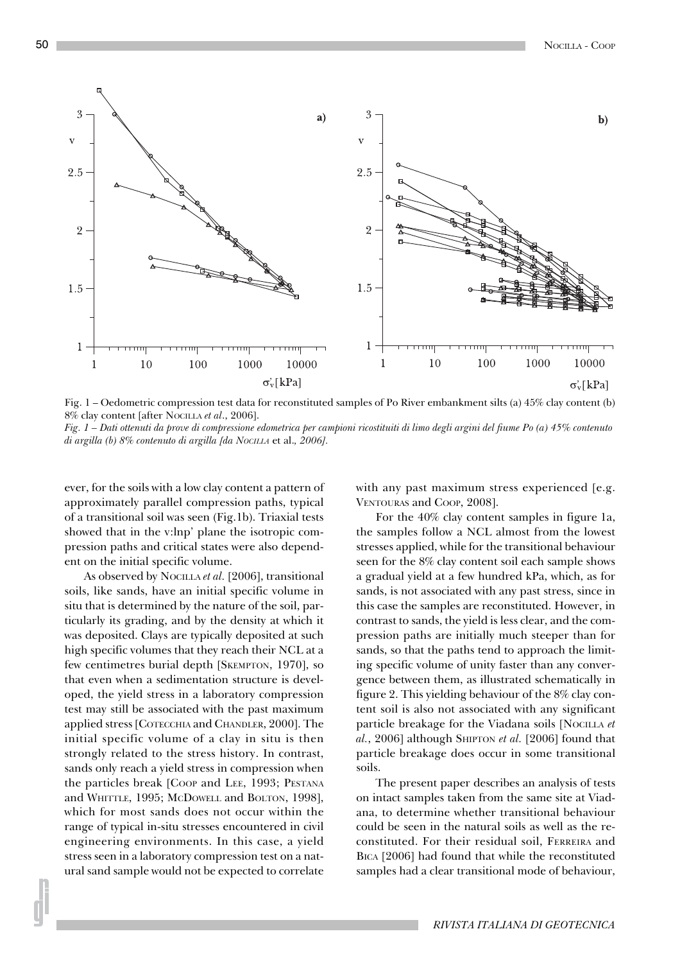

Fig. 1 – Oedometric compression test data for reconstituted samples of Po River embankment silts (a) 45% clay content (b) 8% clay content [after NOCILLA *et al*., 2006].

*Fig. 1 – Dati ottenuti da prove di compressione edometrica per campioni ricostituiti di limo degli argini del fiume Po (a) 45% contenuto di argilla (b) 8% contenuto di argilla [da NOCILLA* et al.*, 2006].*

ever, for the soils with a low clay content a pattern of approximately parallel compression paths, typical of a transitional soil was seen (Fig.1b). Triaxial tests showed that in the v:lnp' plane the isotropic compression paths and critical states were also dependent on the initial specific volume.

As observed by NOCILLA *et al.* [2006], transitional soils, like sands, have an initial specific volume in situ that is determined by the nature of the soil, particularly its grading, and by the density at which it was deposited. Clays are typically deposited at such high specific volumes that they reach their NCL at a few centimetres burial depth [SKEMPTON, 1970], so that even when a sedimentation structure is developed, the yield stress in a laboratory compression test may still be associated with the past maximum applied stress [COTECCHIA and CHANDLER, 2000]. The initial specific volume of a clay in situ is then strongly related to the stress history. In contrast, sands only reach a yield stress in compression when the particles break [COOP and LEE, 1993; PESTANA and WHITTLE, 1995; MCDOWELL and BOLTON, 1998], which for most sands does not occur within the range of typical in-situ stresses encountered in civil engineering environments. In this case, a yield stress seen in a laboratory compression test on a natural sand sample would not be expected to correlate with any past maximum stress experienced [e.g. VENTOURAS and COOP, 2008].

For the 40% clay content samples in figure 1a, the samples follow a NCL almost from the lowest stresses applied, while for the transitional behaviour seen for the 8% clay content soil each sample shows a gradual yield at a few hundred kPa, which, as for sands, is not associated with any past stress, since in this case the samples are reconstituted. However, in contrast to sands, the yield is less clear, and the compression paths are initially much steeper than for sands, so that the paths tend to approach the limiting specific volume of unity faster than any convergence between them, as illustrated schematically in figure 2. This yielding behaviour of the 8% clay content soil is also not associated with any significant particle breakage for the Viadana soils [NOCILLA *et al.*, 2006] although SHIPTON *et al.* [2006] found that particle breakage does occur in some transitional soils.

The present paper describes an analysis of tests on intact samples taken from the same site at Viadana, to determine whether transitional behaviour could be seen in the natural soils as well as the reconstituted. For their residual soil, FERREIRA and BICA [2006] had found that while the reconstituted samples had a clear transitional mode of behaviour,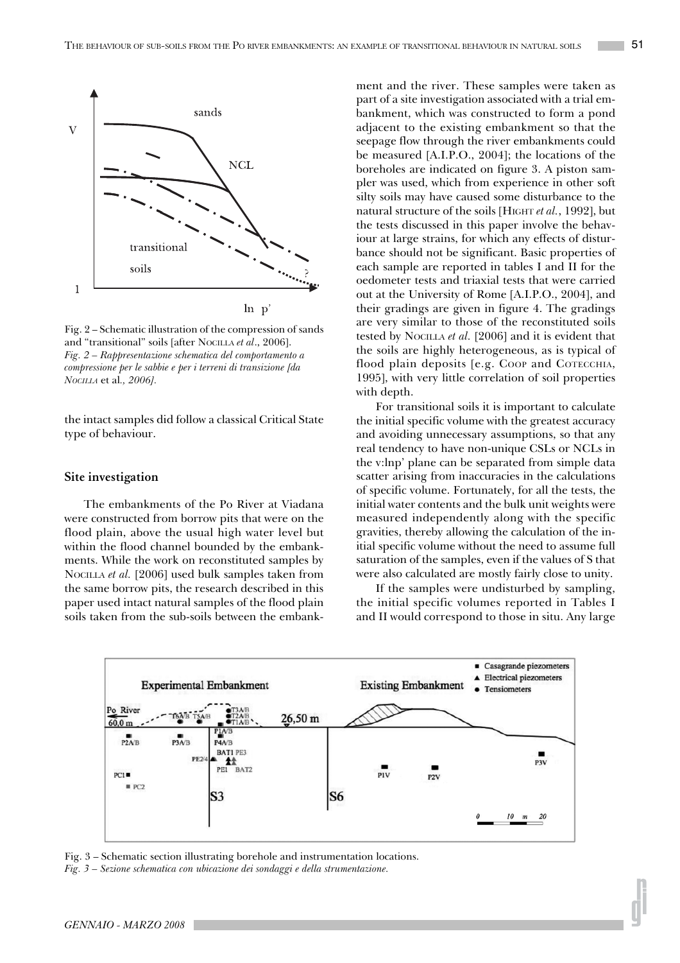

Fig. 2 – Schematic illustration of the compression of sands and "transitional" soils [after NOCILLA *et al*., 2006]. *Fig. 2 – Rappresentazione schematica del comportamento a compressione per le sabbie e per i terreni di transizione [da NOCILLA* et al*., 2006].*

the intact samples did follow a classical Critical State type of behaviour.

#### **Site investigation**

The embankments of the Po River at Viadana were constructed from borrow pits that were on the flood plain, above the usual high water level but within the flood channel bounded by the embankments. While the work on reconstituted samples by NOCILLA *et al.* [2006] used bulk samples taken from the same borrow pits, the research described in this paper used intact natural samples of the flood plain soils taken from the sub-soils between the embankment and the river. These samples were taken as part of a site investigation associated with a trial embankment, which was constructed to form a pond adjacent to the existing embankment so that the seepage flow through the river embankments could be measured [A.I.P.O., 2004]; the locations of the boreholes are indicated on figure 3. A piston sampler was used, which from experience in other soft silty soils may have caused some disturbance to the natural structure of the soils [HIGHT *et al.*, 1992], but the tests discussed in this paper involve the behaviour at large strains, for which any effects of disturbance should not be significant. Basic properties of each sample are reported in tables I and II for the oedometer tests and triaxial tests that were carried out at the University of Rome [A.I.P.O., 2004], and their gradings are given in figure 4. The gradings are very similar to those of the reconstituted soils tested by NOCILLA *et al.* [2006] and it is evident that the soils are highly heterogeneous, as is typical of flood plain deposits [e.g. COOP and COTECCHIA, 1995], with very little correlation of soil properties with depth.

For transitional soils it is important to calculate the initial specific volume with the greatest accuracy and avoiding unnecessary assumptions, so that any real tendency to have non-unique CSLs or NCLs in the v:lnp' plane can be separated from simple data scatter arising from inaccuracies in the calculations of specific volume. Fortunately, for all the tests, the initial water contents and the bulk unit weights were measured independently along with the specific gravities, thereby allowing the calculation of the initial specific volume without the need to assume full saturation of the samples, even if the values of S that were also calculated are mostly fairly close to unity.

If the samples were undisturbed by sampling, the initial specific volumes reported in Tables I and II would correspond to those in situ. Any large



Fig. 3 – Schematic section illustrating borehole and instrumentation locations. *Fig. 3 – Sezione schematica con ubicazione dei sondaggi e della strumentazione.*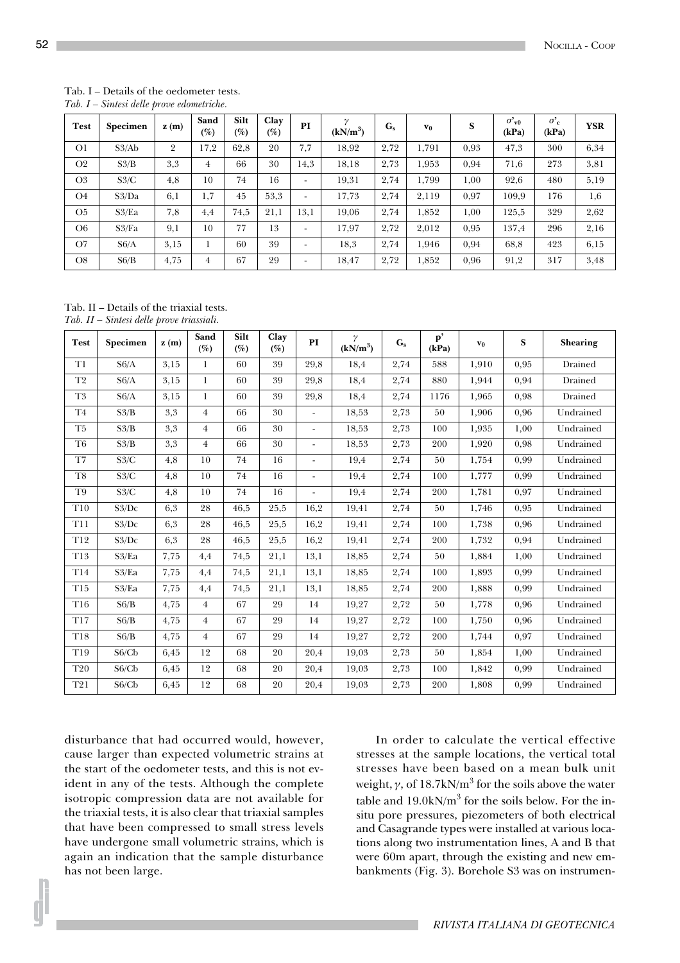#### Tab. I – Details of the oedometer tests. *Tab. I – Sintesi delle prove edometriche.*

| <b>Test</b>    | Specimen | z(m)           | Sand<br>(%) | Silt<br>$\left( \% \right)$ | Clay<br>$(\%)$ | PI   | $\gamma$<br>$(kN/m^3)$ | $G_{s}$ | $\mathbf{v}_0$ | S    | $\sigma_{\rm v0}$<br>(kPa) | $\sigma_c^{\prime}$<br>(kPa) | <b>YSR</b> |
|----------------|----------|----------------|-------------|-----------------------------|----------------|------|------------------------|---------|----------------|------|----------------------------|------------------------------|------------|
| O <sub>1</sub> | S3/Ab    | $\overline{2}$ | 17,2        | 62,8                        | 20             | 7,7  | 18,92                  | 2,72    | 1,791          | 0,93 | 47,3                       | 300                          | 6,34       |
| O <sub>2</sub> | S3/B     | 3,3            | 4           | 66                          | 30             | 14.3 | 18,18                  | 2,73    | 1,953          | 0,94 | 71,6                       | 273                          | 3,81       |
| O <sub>3</sub> | S3/C     | 4,8            | 10          | 74                          | 16             |      | 19.31                  | 2,74    | 1.799          | 1,00 | 92,6                       | 480                          | 5,19       |
| O <sub>4</sub> | S3/Da    | 6,1            | 1.7         | 45                          | 53.3           |      | 17,73                  | 2,74    | 2,119          | 0,97 | 109,9                      | 176                          | 1,6        |
| O <sub>5</sub> | S3/Ea    | 7,8            | 4,4         | 74,5                        | 21,1           | 13.1 | 19.06                  | 2,74    | 1,852          | 1,00 | 125,5                      | 329                          | 2,62       |
| O6.            | S3/Fa    | 9,1            | 10          | 77                          | 13             |      | 17.97                  | 2,72    | 2,012          | 0,95 | 137,4                      | 296                          | 2,16       |
| O7             | S6/A     | 3,15           |             | 60                          | 39             |      | 18,3                   | 2,74    | 1.946          | 0.94 | 68,8                       | 423                          | 6,15       |
| O8             | S6/B     | 4,75           | 4           | 67                          | 29             |      | 18,47                  | 2,72    | 1,852          | 0,96 | 91,2                       | 317                          | 3,48       |

Tab. II – Details of the triaxial tests. *Tab. II – Sintesi delle prove triassiali.*

| <b>Test</b>     | Specimen | z(m) | Sand<br>$(\%)$ | Silt<br>(%) | Clay<br>(%) | PI                       | $\gamma$<br>$(kN/m^3)$ | $G_{s}$ | $\mathbf{p}'$<br>(kPa) | $\mathbf{v}_0$ | S    | <b>Shearing</b> |
|-----------------|----------|------|----------------|-------------|-------------|--------------------------|------------------------|---------|------------------------|----------------|------|-----------------|
| T <sub>1</sub>  | S6/A     | 3,15 | $\mathbf{1}$   | 60          | 39          | 29,8                     | 18,4                   | 2,74    | 588                    | 1,910          | 0,95 | Drained         |
| T <sub>2</sub>  | S6/A     | 3,15 | $\mathbf{1}$   | 60          | 39          | 29,8                     | 18,4                   | 2,74    | 880                    | 1,944          | 0,94 | Drained         |
| T <sub>3</sub>  | S6/A     | 3,15 | $\mathbf{1}$   | 60          | 39          | 29,8                     | 18,4                   | 2,74    | 1176                   | 1,965          | 0,98 | Drained         |
| T <sub>4</sub>  | S3/B     | 3,3  | $\overline{4}$ | 66          | 30          |                          | 18,53                  | 2,73    | 50                     | 1,906          | 0,96 | Undrained       |
| T <sub>5</sub>  | S3/B     | 3,3  | $\overline{4}$ | 66          | 30          | $\overline{\phantom{0}}$ | 18,53                  | 2,73    | 100                    | 1,935          | 1,00 | Undrained       |
| T <sub>6</sub>  | S3/B     | 3,3  | $\overline{4}$ | 66          | 30          | ÷                        | 18,53                  | 2,73    | 200                    | 1,920          | 0,98 | Undrained       |
| $\rm{T}7$       | S3/C     | 4,8  | 10             | 74          | 16          | $\overline{\phantom{0}}$ | 19,4                   | 2,74    | 50                     | 1,754          | 0,99 | Undrained       |
| T <sub>8</sub>  | S3/C     | 4,8  | 10             | 74          | 16          | ÷                        | 19,4                   | 2,74    | 100                    | 1.777          | 0,99 | Undrained       |
| T <sub>9</sub>  | S3/C     | 4,8  | 10             | 74          | 16          | ÷                        | 19,4                   | 2,74    | 200                    | 1,781          | 0,97 | Undrained       |
| T <sub>10</sub> | S3/DC    | 6,3  | 28             | 46,5        | 25,5        | 16,2                     | 19,41                  | 2,74    | 50                     | 1,746          | 0,95 | Undrained       |
| <b>T11</b>      | S3/DC    | 6,3  | 28             | 46,5        | 25,5        | 16,2                     | 19,41                  | 2,74    | 100                    | 1,738          | 0,96 | Undrained       |
| T <sub>12</sub> | S3/DC    | 6,3  | 28             | 46,5        | 25,5        | 16,2                     | 19,41                  | 2,74    | 200                    | 1,732          | 0,94 | Undrained       |
| <b>T13</b>      | S3/Ea    | 7,75 | 4,4            | 74,5        | 21,1        | 13,1                     | 18,85                  | 2,74    | 50                     | 1,884          | 1,00 | Undrained       |
| T <sub>14</sub> | S3/Ea    | 7,75 | 4,4            | 74,5        | 21,1        | 13,1                     | 18,85                  | 2,74    | 100                    | 1,893          | 0,99 | Undrained       |
| T <sub>15</sub> | S3/Ea    | 7,75 | 4,4            | 74,5        | 21,1        | 13,1                     | 18,85                  | 2,74    | 200                    | 1,888          | 0,99 | Undrained       |
| T16             | S6/B     | 4,75 | $\overline{4}$ | 67          | 29          | 14                       | 19,27                  | 2,72    | 50                     | 1,778          | 0,96 | Undrained       |
| T <sub>17</sub> | S6/B     | 4,75 | $\overline{4}$ | 67          | 29          | 14                       | 19,27                  | 2,72    | 100                    | 1,750          | 0,96 | Undrained       |
| T18             | S6/B     | 4,75 | $\overline{4}$ | 67          | 29          | 14                       | 19,27                  | 2,72    | 200                    | 1,744          | 0,97 | Undrained       |
| T19             | S6/Cb    | 6,45 | 12             | 68          | 20          | 20,4                     | 19,03                  | 2,73    | 50                     | 1,854          | 1,00 | Undrained       |
| <b>T20</b>      | S6/Cb    | 6,45 | 12             | 68          | 20          | 20,4                     | 19,03                  | 2,73    | 100                    | 1,842          | 0,99 | Undrained       |
| <b>T21</b>      | S6/Cb    | 6,45 | 12             | 68          | 20          | 20,4                     | 19,03                  | 2,73    | 200                    | 1,808          | 0,99 | Undrained       |

disturbance that had occurred would, however, cause larger than expected volumetric strains at the start of the oedometer tests, and this is not evident in any of the tests. Although the complete isotropic compression data are not available for the triaxial tests, it is also clear that triaxial samples that have been compressed to small stress levels have undergone small volumetric strains, which is again an indication that the sample disturbance has not been large.

In order to calculate the vertical effective stresses at the sample locations, the vertical total stresses have been based on a mean bulk unit weight,  $\gamma$ , of  $18.7 \mathrm{kN/m^3}$  for the soils above the water table and  $19.0 \mathrm{kN/m^3}$  for the soils below. For the insitu pore pressures, piezometers of both electrical and Casagrande types were installed at various locations along two instrumentation lines, A and B that were 60m apart, through the existing and new embankments (Fig. 3). Borehole S3 was on instrumen-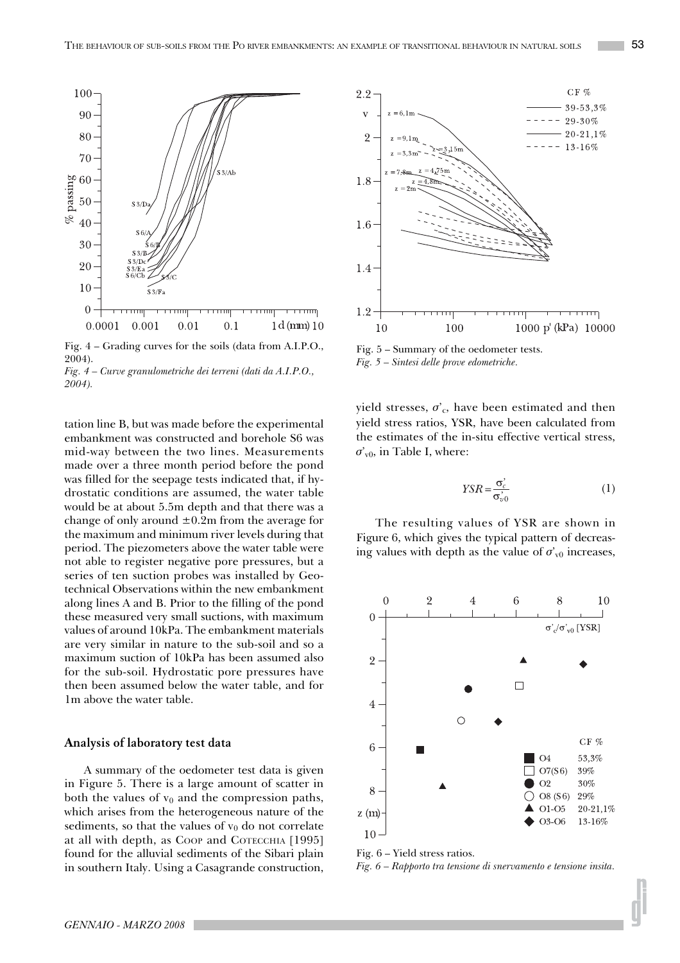

Fig. 4 – Grading curves for the soils (data from A.I.P.O., 2004).

*Fig. 4 – Curve granulometriche dei terreni (dati da A.I.P.O., 2004).*

tation line B, but was made before the experimental embankment was constructed and borehole S6 was mid-way between the two lines. Measurements made over a three month period before the pond was filled for the seepage tests indicated that, if hydrostatic conditions are assumed, the water table would be at about 5.5m depth and that there was a change of only around  $\pm 0.2$ m from the average for the maximum and minimum river levels during that period. The piezometers above the water table were not able to register negative pore pressures, but a series of ten suction probes was installed by Geotechnical Observations within the new embankment along lines A and B. Prior to the filling of the pond these measured very small suctions, with maximum values of around 10kPa. The embankment materials are very similar in nature to the sub-soil and so a maximum suction of 10kPa has been assumed also for the sub-soil. Hydrostatic pore pressures have then been assumed below the water table, and for 1m above the water table.

### **Analysis of laboratory test data**

A summary of the oedometer test data is given in Figure 5. There is a large amount of scatter in both the values of  $v_0$  and the compression paths, which arises from the heterogeneous nature of the sediments, so that the values of  $v_0$  do not correlate at all with depth, as COOP and COTECCHIA [1995] found for the alluvial sediments of the Sibari plain in southern Italy. Using a Casagrande construction,



Fig. 5 – Summary of the oedometer tests. *Fig. 5 – Sintesi delle prove edometriche.*

yield stresses,  $\sigma_c$ , have been estimated and then yield stress ratios, YSR, have been calculated from the estimates of the in-situ effective vertical stress,  $\sigma_{v0}$ , in Table I, where:

$$
YSR = \frac{\sigma_c^2}{\sigma_{v0}^2} \tag{1}
$$

The resulting values of YSR are shown in Figure 6, which gives the typical pattern of decreasing values with depth as the value of  $\sigma_{v0}$  increases,



Fig. 6 – Yield stress ratios.

*Fig. 6 – Rapporto tra tensione di snervamento e tensione insita.*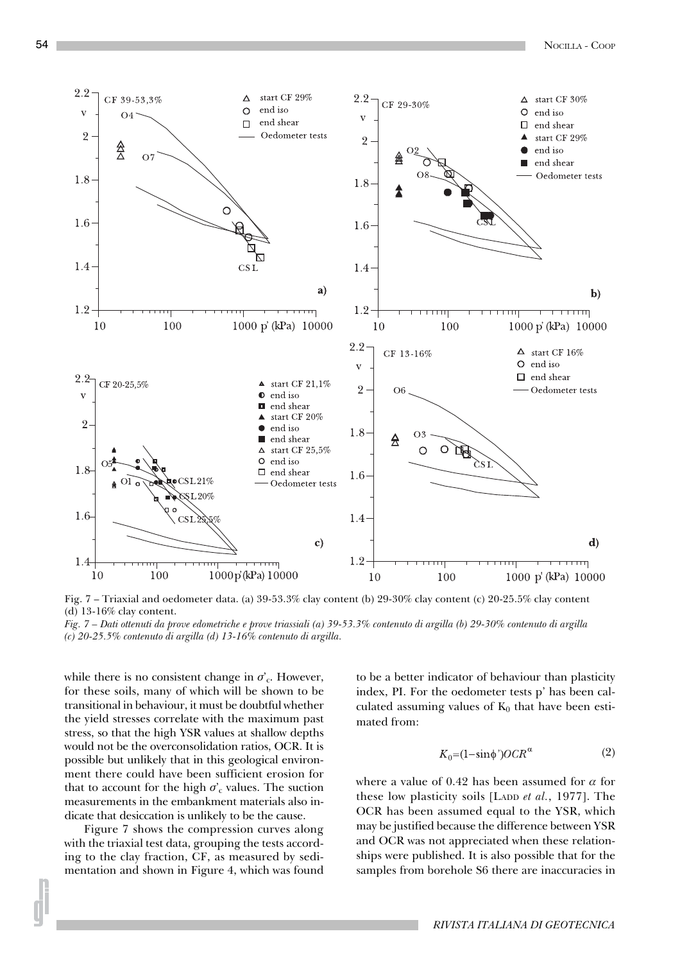

Fig. 7 – Triaxial and oedometer data. (a) 39-53.3% clay content (b) 29-30% clay content (c) 20-25.5% clay content (d) 13-16% clay content.

*Fig. 7 – Dati ottenuti da prove edometriche e prove triassiali (a) 39-53.3% contenuto di argilla (b) 29-30% contenuto di argilla (c) 20-25.5% contenuto di argilla (d) 13-16% contenuto di argilla.*

while there is no consistent change in  $\sigma_c$ . However, for these soils, many of which will be shown to be transitional in behaviour, it must be doubtful whether the yield stresses correlate with the maximum past stress, so that the high YSR values at shallow depths would not be the overconsolidation ratios, OCR. It is possible but unlikely that in this geological environment there could have been sufficient erosion for that to account for the high  $\sigma_c$  values. The suction measurements in the embankment materials also indicate that desiccation is unlikely to be the cause.

Figure 7 shows the compression curves along with the triaxial test data, grouping the tests according to the clay fraction, CF, as measured by sedimentation and shown in Figure 4, which was found to be a better indicator of behaviour than plasticity index, PI. For the oedometer tests p' has been calculated assuming values of  $K_0$  that have been estimated from:

$$
K_0 = (1 - \sin \phi') OCR^{\alpha} \tag{2}
$$

where a value of 0.42 has been assumed for  $\alpha$  for these low plasticity soils [LADD *et al.*, 1977]. The OCR has been assumed equal to the YSR, which may be justified because the difference between YSR and OCR was not appreciated when these relationships were published. It is also possible that for the samples from borehole S6 there are inaccuracies in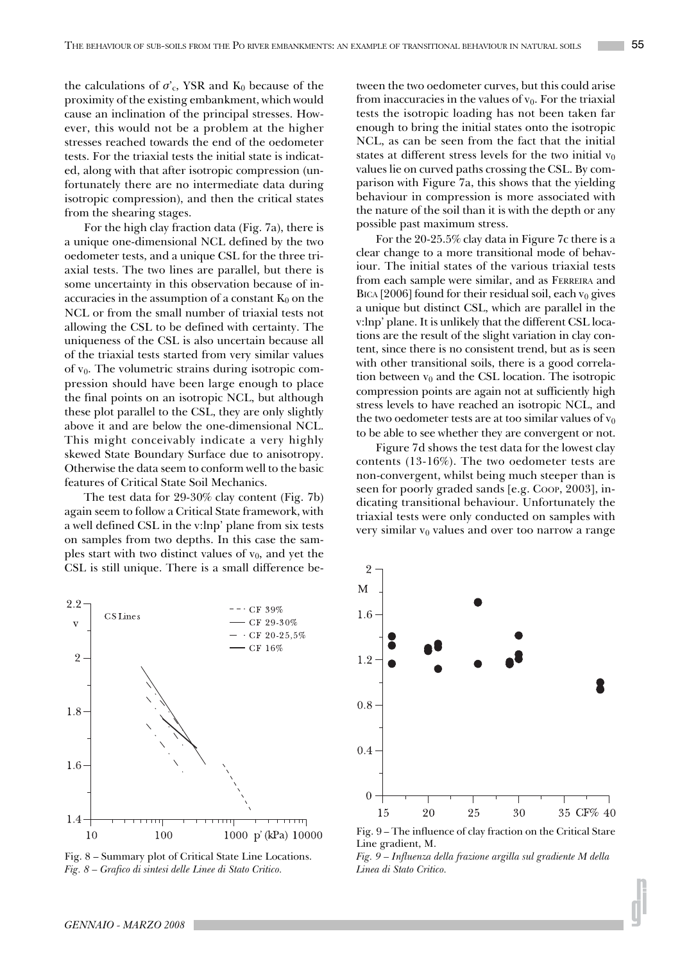the calculations of  $\sigma_c$ , YSR and K<sub>0</sub> because of the proximity of the existing embankment, which would cause an inclination of the principal stresses. However, this would not be a problem at the higher stresses reached towards the end of the oedometer tests. For the triaxial tests the initial state is indicated, along with that after isotropic compression (unfortunately there are no intermediate data during isotropic compression), and then the critical states from the shearing stages.

For the high clay fraction data (Fig. 7a), there is a unique one-dimensional NCL defined by the two oedometer tests, and a unique CSL for the three triaxial tests. The two lines are parallel, but there is some uncertainty in this observation because of inaccuracies in the assumption of a constant  $K_0$  on the NCL or from the small number of triaxial tests not allowing the CSL to be defined with certainty. The uniqueness of the CSL is also uncertain because all of the triaxial tests started from very similar values of  $v_0$ . The volumetric strains during isotropic compression should have been large enough to place the final points on an isotropic NCL, but although these plot parallel to the CSL, they are only slightly above it and are below the one-dimensional NCL. This might conceivably indicate a very highly skewed State Boundary Surface due to anisotropy. Otherwise the data seem to conform well to the basic features of Critical State Soil Mechanics.

The test data for 29-30% clay content (Fig. 7b) again seem to follow a Critical State framework, with a well defined CSL in the v:lnp' plane from six tests on samples from two depths. In this case the samples start with two distinct values of  $v_0$ , and yet the CSL is still unique. There is a small difference befrom inaccuracies in the values of  $v_0$ . For the triaxial tests the isotropic loading has not been taken far enough to bring the initial states onto the isotropic NCL, as can be seen from the fact that the initial states at different stress levels for the two initial  $v_0$ values lie on curved paths crossing the CSL. By comparison with Figure 7a, this shows that the yielding behaviour in compression is more associated with the nature of the soil than it is with the depth or any possible past maximum stress.

tween the two oedometer curves, but this could arise

For the 20-25.5% clay data in Figure 7c there is a clear change to a more transitional mode of behaviour. The initial states of the various triaxial tests from each sample were similar, and as FERREIRA and BICA [2006] found for their residual soil, each  $v_0$  gives a unique but distinct CSL, which are parallel in the v:lnp' plane. It is unlikely that the different CSL locations are the result of the slight variation in clay content, since there is no consistent trend, but as is seen with other transitional soils, there is a good correlation between  $v_0$  and the CSL location. The isotropic compression points are again not at sufficiently high stress levels to have reached an isotropic NCL, and the two oedometer tests are at too similar values of  $v_0$ to be able to see whether they are convergent or not.

Figure 7d shows the test data for the lowest clay contents (13-16%). The two oedometer tests are non-convergent, whilst being much steeper than is seen for poorly graded sands [e.g. COOP, 2003], indicating transitional behaviour. Unfortunately the triaxial tests were only conducted on samples with very similar  $v_0$  values and over too narrow a range



Fig. 8 – Summary plot of Critical State Line Locations. *Fig. 8 – Grafico di sintesi delle Linee di Stato Critico.*



Fig. 9 – The influence of clay fraction on the Critical Stare Line gradient, M.

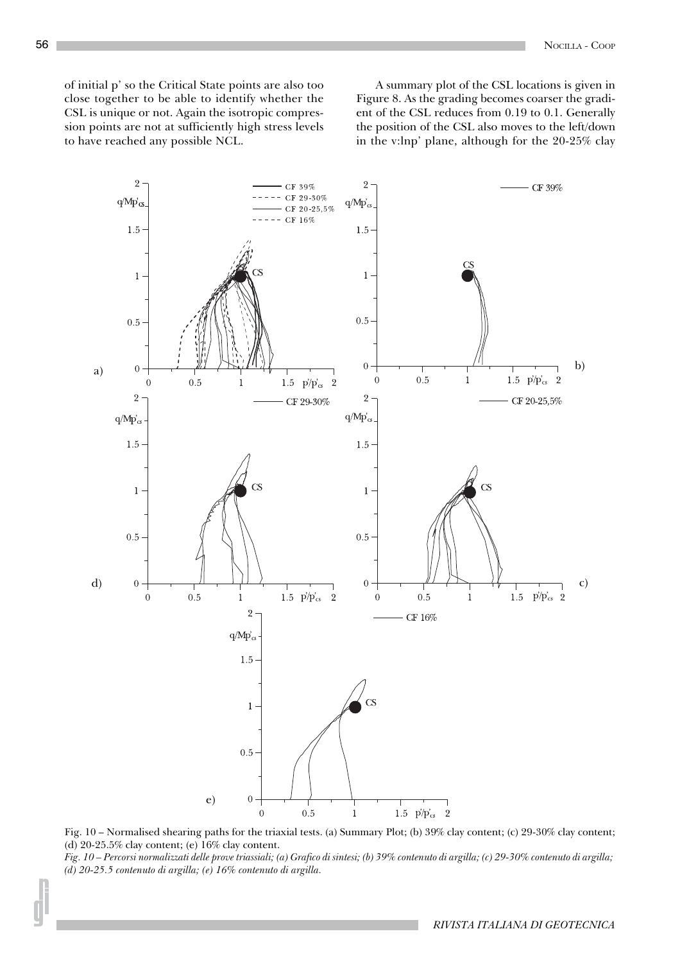of initial p' so the Critical State points are also too close together to be able to identify whether the CSL is unique or not. Again the isotropic compression points are not at sufficiently high stress levels to have reached any possible NCL.

A summary plot of the CSL locations is given in Figure 8. As the grading becomes coarser the gradient of the CSL reduces from 0.19 to 0.1. Generally the position of the CSL also moves to the left/down in the v:lnp' plane, although for the 20-25% clay



Fig. 10 – Normalised shearing paths for the triaxial tests. (a) Summary Plot; (b) 39% clay content; (c) 29-30% clay content; (d) 20-25.5% clay content; (e) 16% clay content.

*Fig. 10 – Percorsi normalizzati delle prove triassiali; (a) Grafico di sintesi; (b) 39% contenuto di argilla; (c) 29-30% contenuto di argilla; (d) 20-25.5 contenuto di argilla; (e) 16% contenuto di argilla.*

*RIVISTA ITALIANA DI GEOTECNICA*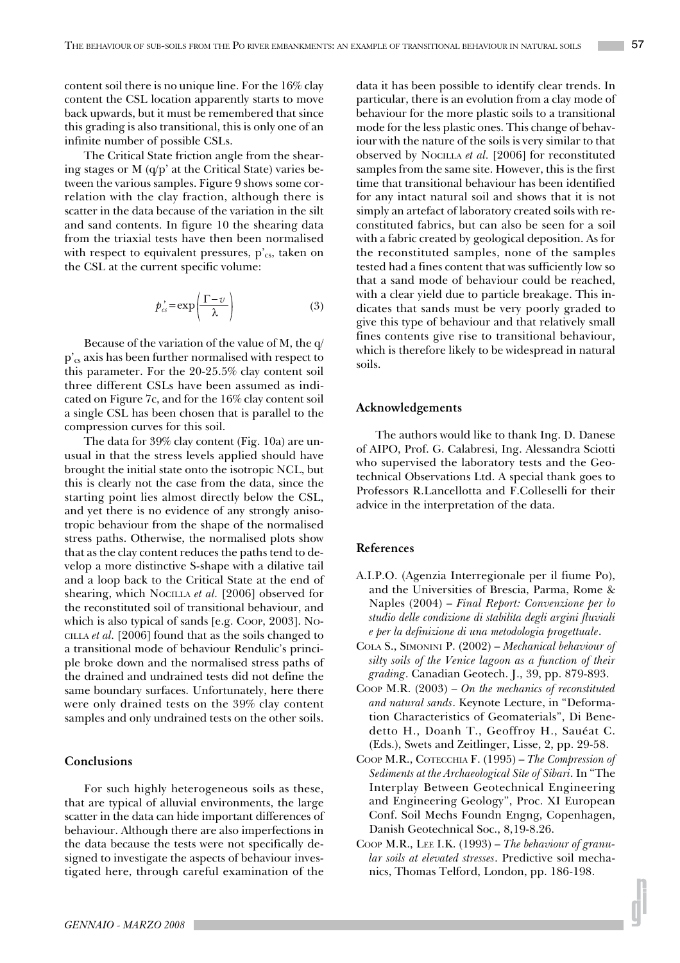content soil there is no unique line. For the 16% clay content the CSL location apparently starts to move back upwards, but it must be remembered that since this grading is also transitional, this is only one of an infinite number of possible CSLs.

The Critical State friction angle from the shearing stages or M (q/p' at the Critical State) varies between the various samples. Figure 9 shows some correlation with the clay fraction, although there is scatter in the data because of the variation in the silt and sand contents. In figure 10 the shearing data from the triaxial tests have then been normalised with respect to equivalent pressures,  $p'_{cs}$ , taken on the CSL at the current specific volume:

$$
p'_{cs} = \exp\left(\frac{\Gamma - v}{\lambda}\right) \tag{3}
$$

Because of the variation of the value of M, the q/ p'cs axis has been further normalised with respect to this parameter. For the 20-25.5% clay content soil three different CSLs have been assumed as indicated on Figure 7c, and for the 16% clay content soil a single CSL has been chosen that is parallel to the compression curves for this soil.

The data for 39% clay content (Fig. 10a) are unusual in that the stress levels applied should have brought the initial state onto the isotropic NCL, but this is clearly not the case from the data, since the starting point lies almost directly below the CSL, and yet there is no evidence of any strongly anisotropic behaviour from the shape of the normalised stress paths. Otherwise, the normalised plots show that as the clay content reduces the paths tend to develop a more distinctive S-shape with a dilative tail and a loop back to the Critical State at the end of shearing, which NOCILLA *et al.* [2006] observed for the reconstituted soil of transitional behaviour, and which is also typical of sands [e.g. Coop, 2003]. No-CILLA *et al.* [2006] found that as the soils changed to a transitional mode of behaviour Rendulic's principle broke down and the normalised stress paths of the drained and undrained tests did not define the same boundary surfaces. Unfortunately, here there were only drained tests on the 39% clay content samples and only undrained tests on the other soils.

## **Conclusions**

For such highly heterogeneous soils as these, that are typical of alluvial environments, the large scatter in the data can hide important differences of behaviour. Although there are also imperfections in the data because the tests were not specifically designed to investigate the aspects of behaviour investigated here, through careful examination of the

data it has been possible to identify clear trends. In particular, there is an evolution from a clay mode of behaviour for the more plastic soils to a transitional mode for the less plastic ones. This change of behaviour with the nature of the soils is very similar to that observed by NOCILLA *et al.* [2006] for reconstituted samples from the same site. However, this is the first time that transitional behaviour has been identified for any intact natural soil and shows that it is not simply an artefact of laboratory created soils with reconstituted fabrics, but can also be seen for a soil with a fabric created by geological deposition. As for the reconstituted samples, none of the samples tested had a fines content that was sufficiently low so that a sand mode of behaviour could be reached, with a clear yield due to particle breakage. This indicates that sands must be very poorly graded to give this type of behaviour and that relatively small fines contents give rise to transitional behaviour, which is therefore likely to be widespread in natural soils.

#### **Acknowledgements**

The authors would like to thank Ing. D. Danese of AIPO, Prof. G. Calabresi, Ing. Alessandra Sciotti who supervised the laboratory tests and the Geotechnical Observations Ltd. A special thank goes to Professors R.Lancellotta and F.Colleselli for their advice in the interpretation of the data.

#### **References**

- A.I.P.O. (Agenzia Interregionale per il fiume Po), and the Universities of Brescia, Parma, Rome & Naples (2004) – *Final Report: Convenzione per lo studio delle condizione di stabilita degli argini fluviali e per la definizione di una metodologia progettuale*.
- COLA S., SIMONINI P. (2002) *Mechanical behaviour of silty soils of the Venice lagoon as a function of their grading*. Canadian Geotech. J., 39, pp. 879-893.
- COOP M.R. (2003) *On the mechanics of reconstituted and natural sands*. Keynote Lecture, in "Deformation Characteristics of Geomaterials", Di Benedetto H., Doanh T., Geoffroy H., Sauéat C. (Eds.), Swets and Zeitlinger, Lisse, 2, pp. 29-58.
- COOP M.R., COTECCHIA F. (1995) *The Compression of Sediments at the Archaeological Site of Sibari*. In "The Interplay Between Geotechnical Engineering and Engineering Geology", Proc. XI European Conf. Soil Mechs Foundn Engng, Copenhagen, Danish Geotechnical Soc., 8,19-8.26.
- COOP M.R., LEE I.K. (1993) *The behaviour of granular soils at elevated stresses*. Predictive soil mechanics, Thomas Telford, London, pp. 186-198.